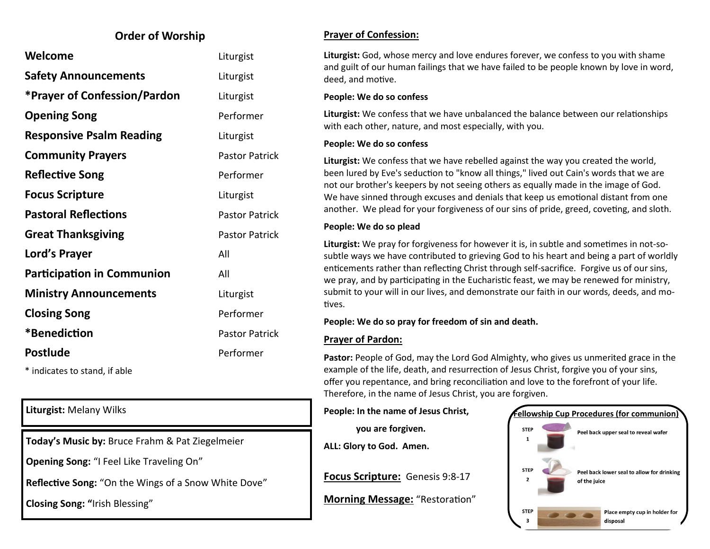### **Order of Worship**

| Welcome                             | Liturgist             |
|-------------------------------------|-----------------------|
| <b>Safety Announcements</b>         | Liturgist             |
| <b>*Prayer of Confession/Pardon</b> | Liturgist             |
| <b>Opening Song</b>                 | Performer             |
| <b>Responsive Psalm Reading</b>     | Liturgist             |
| <b>Community Prayers</b>            | <b>Pastor Patrick</b> |
| <b>Reflective Song</b>              | Performer             |
| <b>Focus Scripture</b>              | Liturgist             |
| <b>Pastoral Reflections</b>         | <b>Pastor Patrick</b> |
| <b>Great Thanksgiving</b>           | <b>Pastor Patrick</b> |
| Lord's Prayer                       | All                   |
| <b>Participation in Communion</b>   | All                   |
| <b>Ministry Announcements</b>       | Liturgist             |
| <b>Closing Song</b>                 | Performer             |
| *Benediction                        | <b>Pastor Patrick</b> |
| <b>Postlude</b>                     | Performer             |
|                                     |                       |

\* indicates to stand, if able

**Today's Music by:** Bruce Frahm & Pat Ziegelmeier

**Opening Song:** "I Feel Like Traveling On"

**Reflective Song:** "On the Wings of a Snow White Dove"

**Closing Song: "**Irish Blessing"

#### **Prayer of Confession:**

**Liturgist:** God, whose mercy and love endures forever, we confess to you with shame and guilt of our human failings that we have failed to be people known by love in word, deed, and motive.

#### **People: We do so confess**

**Liturgist:** We confess that we have unbalanced the balance between our relationships with each other, nature, and most especially, with you.

#### **People: We do so confess**

**Liturgist:** We confess that we have rebelled against the way you created the world, been lured by Eve's seduction to "know all things," lived out Cain's words that we are not our brother's keepers by not seeing others as equally made in the image of God. We have sinned through excuses and denials that keep us emotional distant from one another. We plead for your forgiveness of our sins of pride, greed, coveting, and sloth.

#### **People: We do so plead**

**Liturgist:** We pray for forgiveness for however it is, in subtle and sometimes in not-sosubtle ways we have contributed to grieving God to his heart and being a part of worldly enticements rather than reflecting Christ through self-sacrifice. Forgive us of our sins, we pray, and by participating in the Eucharistic feast, we may be renewed for ministry, submit to your will in our lives, and demonstrate our faith in our words, deeds, and motives.

#### **People: We do so pray for freedom of sin and death.**

#### **Prayer of Pardon:**

**Pastor:** People of God, may the Lord God Almighty, who gives us unmerited grace in the example of the life, death, and resurrection of Jesus Christ, forgive you of your sins, offer you repentance, and bring reconciliation and love to the forefront of your life. Therefore, in the name of Jesus Christ, you are forgiven.